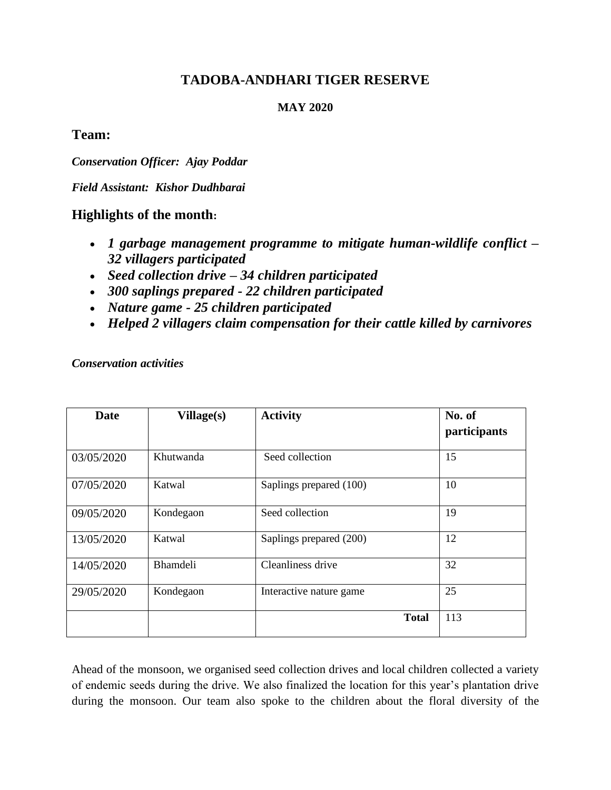# **TADOBA-ANDHARI TIGER RESERVE**

### **MAY 2020**

### **Team:**

*Conservation Officer: Ajay Poddar*

*Field Assistant: Kishor Dudhbarai*

## **Highlights of the month:**

- *1 garbage management programme to mitigate human-wildlife conflict – 32 villagers participated*
- *Seed collection drive – 34 children participated*
- *300 saplings prepared - 22 children participated*
- *Nature game - 25 children participated*
- *Helped 2 villagers claim compensation for their cattle killed by carnivores*

*Conservation activities*

| Date       | Village(s)      | <b>Activity</b>         | No. of<br>participants |
|------------|-----------------|-------------------------|------------------------|
| 03/05/2020 | Khutwanda       | Seed collection         | 15                     |
| 07/05/2020 | Katwal          | Saplings prepared (100) | 10                     |
| 09/05/2020 | Kondegaon       | Seed collection         | 19                     |
| 13/05/2020 | Katwal          | Saplings prepared (200) | 12                     |
| 14/05/2020 | <b>Bhamdeli</b> | Cleanliness drive       | 32                     |
| 29/05/2020 | Kondegaon       | Interactive nature game | 25                     |
|            |                 | <b>Total</b>            | 113                    |

Ahead of the monsoon, we organised seed collection drives and local children collected a variety of endemic seeds during the drive. We also finalized the location for this year's plantation drive during the monsoon. Our team also spoke to the children about the floral diversity of the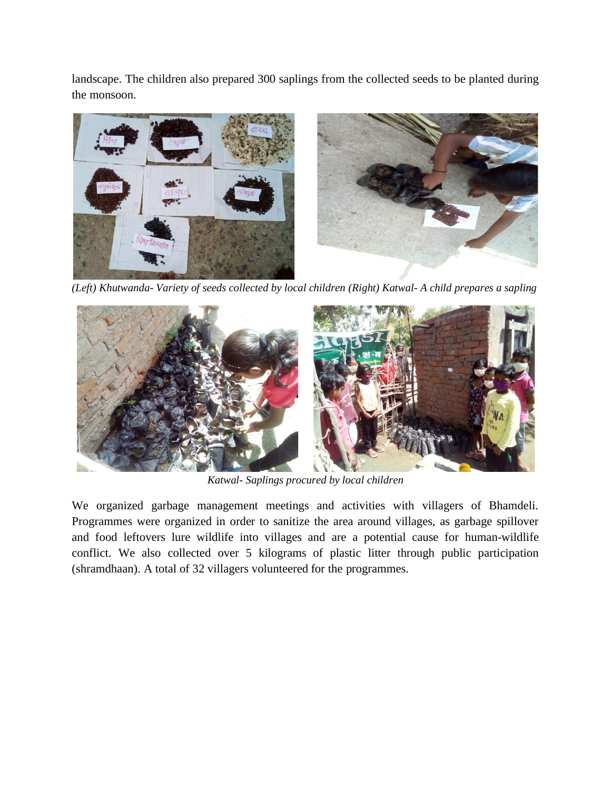landscape. The children also prepared 300 saplings from the collected seeds to be planted during the monsoon.



*(Left) Khutwanda- Variety of seeds collected by local children (Right) Katwal- A child prepares a sapling*



*Katwal- Saplings procured by local children*

We organized garbage management meetings and activities with villagers of Bhamdeli. Programmes were organized in order to sanitize the area around villages, as garbage spillover and food leftovers lure wildlife into villages and are a potential cause for human-wildlife conflict. We also collected over 5 kilograms of plastic litter through public participation (shramdhaan). A total of 32 villagers volunteered for the programmes.